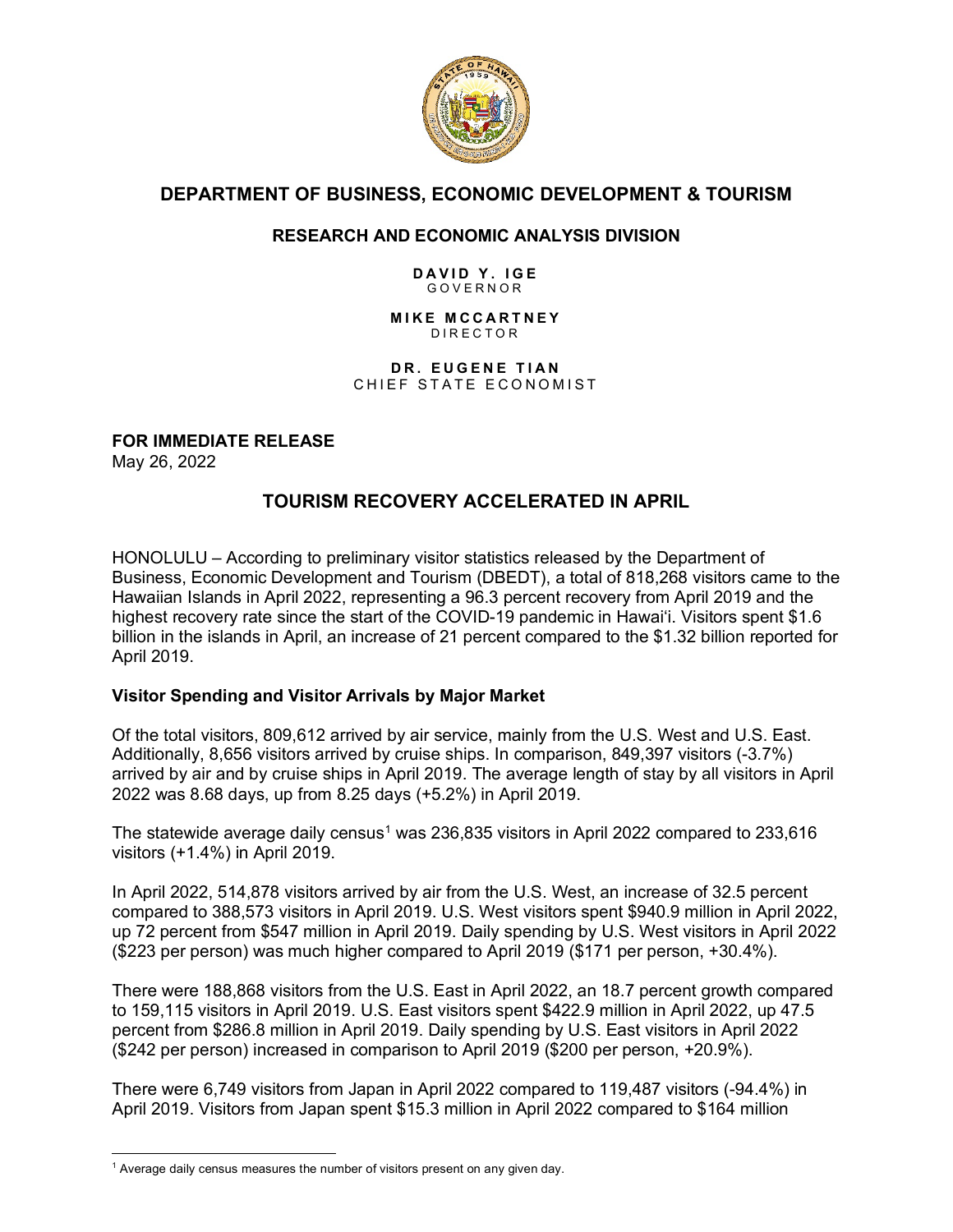

# **DEPARTMENT OF BUSINESS, ECONOMIC DEVELOPMENT & TOURISM**

# **RESEARCH AND ECONOMIC ANALYSIS DIVISION**

#### **DAVID Y. IGE** GOVERNOR

#### **MIKE MCCARTNEY** DIRECTOR

**DR. EUGENE TIAN** CHIEF STATE ECONOMIST

**FOR IMMEDIATE RELEASE**

May 26, 2022

# **TOURISM RECOVERY ACCELERATED IN APRIL**

HONOLULU – According to preliminary visitor statistics released by the Department of Business, Economic Development and Tourism (DBEDT), a total of 818,268 visitors came to the Hawaiian Islands in April 2022, representing a 96.3 percent recovery from April 2019 and the highest recovery rate since the start of the COVID-19 pandemic in Hawai'i. Visitors spent \$1.6 billion in the islands in April, an increase of 21 percent compared to the \$1.32 billion reported for April 2019.

## **Visitor Spending and Visitor Arrivals by Major Market**

Of the total visitors, 809,612 arrived by air service, mainly from the U.S. West and U.S. East. Additionally, 8,656 visitors arrived by cruise ships. In comparison, 849,397 visitors (-3.7%) arrived by air and by cruise ships in April 2019. The average length of stay by all visitors in April 2022 was 8.68 days, up from 8.25 days (+5.2%) in April 2019.

The statewide average daily census<sup>1</sup> was 236,835 visitors in April 2022 compared to 233,616 visitors (+1.4%) in April 2019.

In April 2022, 514,878 visitors arrived by air from the U.S. West, an increase of 32.5 percent compared to 388,573 visitors in April 2019. U.S. West visitors spent \$940.9 million in April 2022, up 72 percent from \$547 million in April 2019. Daily spending by U.S. West visitors in April 2022 (\$223 per person) was much higher compared to April 2019 (\$171 per person, +30.4%).

There were 188,868 visitors from the U.S. East in April 2022, an 18.7 percent growth compared to 159,115 visitors in April 2019. U.S. East visitors spent \$422.9 million in April 2022, up 47.5 percent from \$286.8 million in April 2019. Daily spending by U.S. East visitors in April 2022 (\$242 per person) increased in comparison to April 2019 (\$200 per person, +20.9%).

There were 6,749 visitors from Japan in April 2022 compared to 119,487 visitors (-94.4%) in April 2019. Visitors from Japan spent \$15.3 million in April 2022 compared to \$164 million

<span id="page-0-0"></span> $1$  Average daily census measures the number of visitors present on any given day.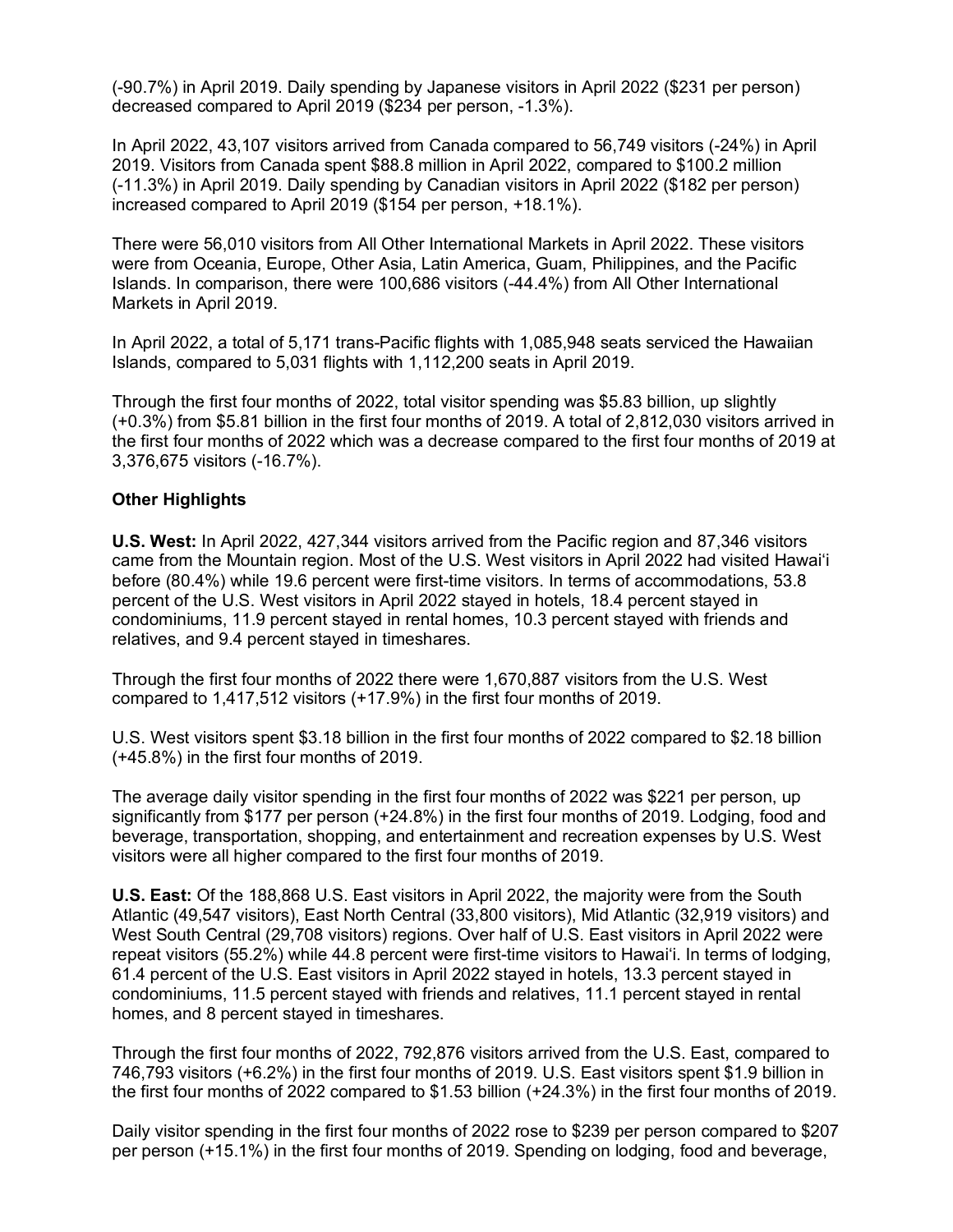(-90.7%) in April 2019. Daily spending by Japanese visitors in April 2022 (\$231 per person) decreased compared to April 2019 (\$234 per person, -1.3%).

In April 2022, 43,107 visitors arrived from Canada compared to 56,749 visitors (-24%) in April 2019. Visitors from Canada spent \$88.8 million in April 2022, compared to \$100.2 million (-11.3%) in April 2019. Daily spending by Canadian visitors in April 2022 (\$182 per person) increased compared to April 2019 (\$154 per person, +18.1%).

There were 56,010 visitors from All Other International Markets in April 2022. These visitors were from Oceania, Europe, Other Asia, Latin America, Guam, Philippines, and the Pacific Islands. In comparison, there were 100,686 visitors (-44.4%) from All Other International Markets in April 2019.

In April 2022, a total of 5,171 trans-Pacific flights with 1,085,948 seats serviced the Hawaiian Islands, compared to 5,031 flights with 1,112,200 seats in April 2019.

Through the first four months of 2022, total visitor spending was \$5.83 billion, up slightly (+0.3%) from \$5.81 billion in the first four months of 2019. A total of 2,812,030 visitors arrived in the first four months of 2022 which was a decrease compared to the first four months of 2019 at 3,376,675 visitors (-16.7%).

#### **Other Highlights**

**U.S. West:** In April 2022, 427,344 visitors arrived from the Pacific region and 87,346 visitors came from the Mountain region. Most of the U.S. West visitors in April 2022 had visited Hawai'i before (80.4%) while 19.6 percent were first-time visitors. In terms of accommodations, 53.8 percent of the U.S. West visitors in April 2022 stayed in hotels, 18.4 percent stayed in condominiums, 11.9 percent stayed in rental homes, 10.3 percent stayed with friends and relatives, and 9.4 percent stayed in timeshares.

Through the first four months of 2022 there were 1,670,887 visitors from the U.S. West compared to 1,417,512 visitors (+17.9%) in the first four months of 2019.

U.S. West visitors spent \$3.18 billion in the first four months of 2022 compared to \$2.18 billion (+45.8%) in the first four months of 2019.

The average daily visitor spending in the first four months of 2022 was \$221 per person, up significantly from \$177 per person (+24.8%) in the first four months of 2019. Lodging, food and beverage, transportation, shopping, and entertainment and recreation expenses by U.S. West visitors were all higher compared to the first four months of 2019.

**U.S. East:** Of the 188,868 U.S. East visitors in April 2022, the majority were from the South Atlantic (49,547 visitors), East North Central (33,800 visitors), Mid Atlantic (32,919 visitors) and West South Central (29,708 visitors) regions. Over half of U.S. East visitors in April 2022 were repeat visitors (55.2%) while 44.8 percent were first-time visitors to Hawai'i. In terms of lodging, 61.4 percent of the U.S. East visitors in April 2022 stayed in hotels, 13.3 percent stayed in condominiums, 11.5 percent stayed with friends and relatives, 11.1 percent stayed in rental homes, and 8 percent stayed in timeshares.

Through the first four months of 2022, 792,876 visitors arrived from the U.S. East, compared to 746,793 visitors (+6.2%) in the first four months of 2019. U.S. East visitors spent \$1.9 billion in the first four months of 2022 compared to \$1.53 billion (+24.3%) in the first four months of 2019.

Daily visitor spending in the first four months of 2022 rose to \$239 per person compared to \$207 per person (+15.1%) in the first four months of 2019. Spending on lodging, food and beverage,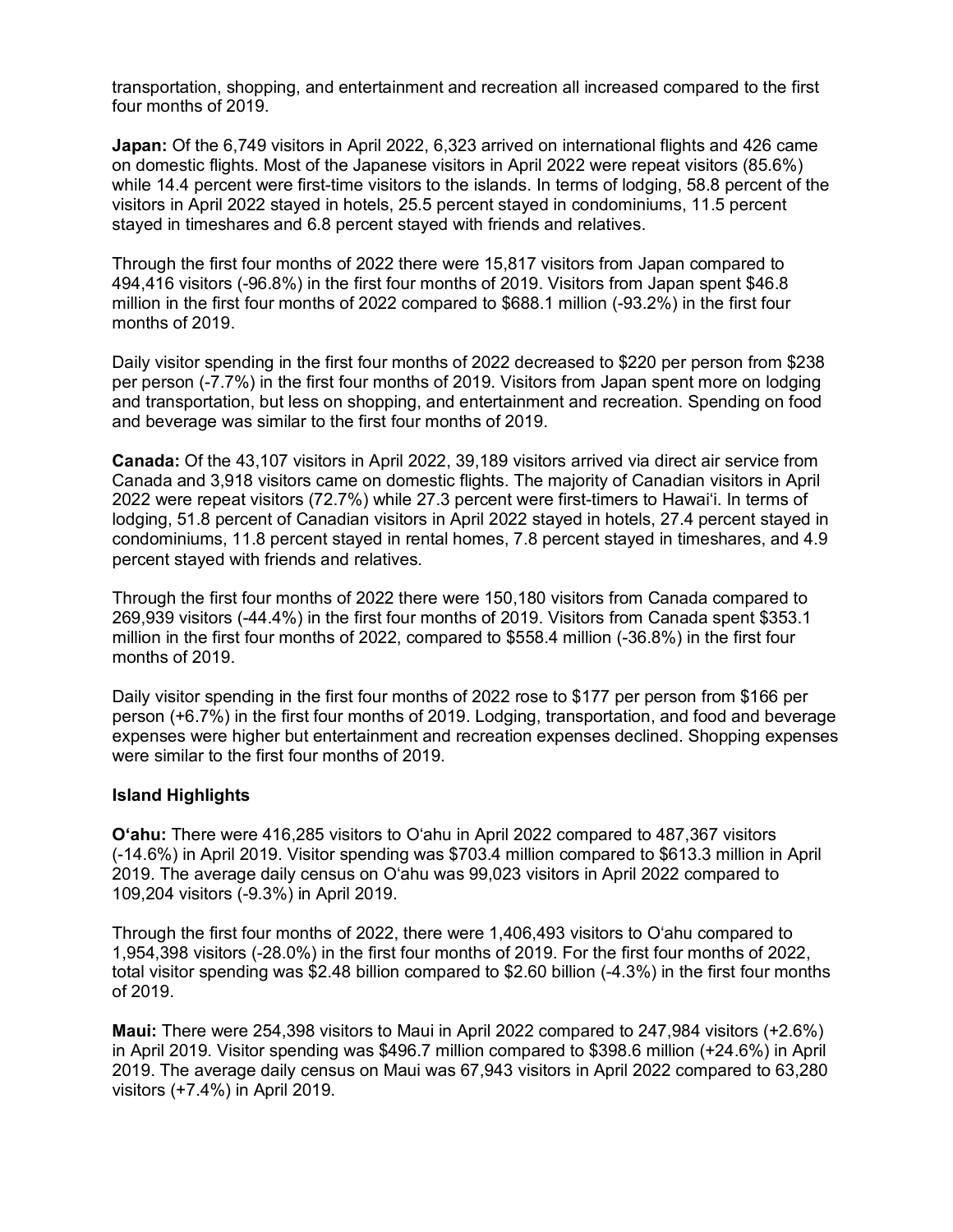transportation, shopping, and entertainment and recreation all increased compared to the first four months of 2019.

**Japan:** Of the 6,749 visitors in April 2022, 6,323 arrived on international flights and 426 came on domestic flights. Most of the Japanese visitors in April 2022 were repeat visitors (85.6%) while 14.4 percent were first-time visitors to the islands. In terms of lodging, 58.8 percent of the visitors in April 2022 stayed in hotels, 25.5 percent stayed in condominiums, 11.5 percent stayed in timeshares and 6.8 percent stayed with friends and relatives.

Through the first four months of 2022 there were 15,817 visitors from Japan compared to 494,416 visitors (-96.8%) in the first four months of 2019. Visitors from Japan spent \$46.8 million in the first four months of 2022 compared to \$688.1 million (-93.2%) in the first four months of 2019.

Daily visitor spending in the first four months of 2022 decreased to \$220 per person from \$238 per person (-7.7%) in the first four months of 2019. Visitors from Japan spent more on lodging and transportation, but less on shopping, and entertainment and recreation. Spending on food and beverage was similar to the first four months of 2019.

**Canada:** Of the 43,107 visitors in April 2022, 39,189 visitors arrived via direct air service from Canada and 3,918 visitors came on domestic flights. The majority of Canadian visitors in April 2022 were repeat visitors (72.7%) while 27.3 percent were first-timers to Hawai'i. In terms of lodging, 51.8 percent of Canadian visitors in April 2022 stayed in hotels, 27.4 percent stayed in condominiums, 11.8 percent stayed in rental homes, 7.8 percent stayed in timeshares, and 4.9 percent stayed with friends and relatives.

Through the first four months of 2022 there were 150,180 visitors from Canada compared to 269,939 visitors (-44.4%) in the first four months of 2019. Visitors from Canada spent \$353.1 million in the first four months of 2022, compared to \$558.4 million (-36.8%) in the first four months of 2019.

Daily visitor spending in the first four months of 2022 rose to \$177 per person from \$166 per person (+6.7%) in the first four months of 2019. Lodging, transportation, and food and beverage expenses were higher but entertainment and recreation expenses declined. Shopping expenses were similar to the first four months of 2019.

#### **Island Highlights**

**O'ahu:** There were 416,285 visitors to O'ahu in April 2022 compared to 487,367 visitors (-14.6%) in April 2019. Visitor spending was \$703.4 million compared to \$613.3 million in April 2019. The average daily census on O'ahu was 99,023 visitors in April 2022 compared to 109,204 visitors (-9.3%) in April 2019.

Through the first four months of 2022, there were 1,406,493 visitors to O'ahu compared to 1,954,398 visitors (-28.0%) in the first four months of 2019. For the first four months of 2022, total visitor spending was \$2.48 billion compared to \$2.60 billion (-4.3%) in the first four months of 2019.

**Maui:** There were 254,398 visitors to Maui in April 2022 compared to 247,984 visitors (+2.6%) in April 2019. Visitor spending was \$496.7 million compared to \$398.6 million (+24.6%) in April 2019. The average daily census on Maui was 67,943 visitors in April 2022 compared to 63,280 visitors (+7.4%) in April 2019.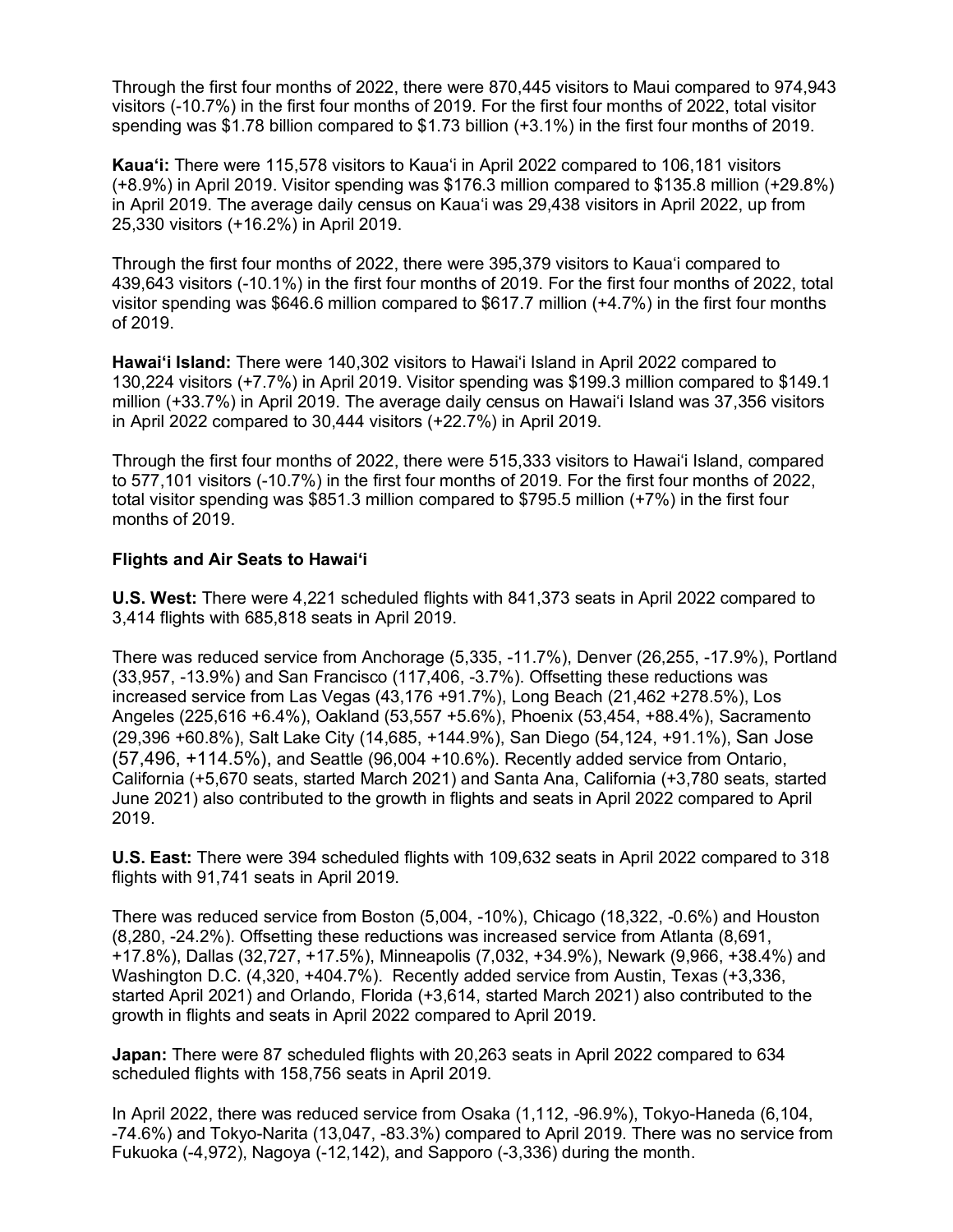Through the first four months of 2022, there were 870,445 visitors to Maui compared to 974,943 visitors (-10.7%) in the first four months of 2019. For the first four months of 2022, total visitor spending was \$1.78 billion compared to \$1.73 billion (+3.1%) in the first four months of 2019.

**Kaua'i:** There were 115,578 visitors to Kaua'i in April 2022 compared to 106,181 visitors (+8.9%) in April 2019. Visitor spending was \$176.3 million compared to \$135.8 million (+29.8%) in April 2019. The average daily census on Kaua'i was 29,438 visitors in April 2022, up from 25,330 visitors (+16.2%) in April 2019.

Through the first four months of 2022, there were 395,379 visitors to Kaua'i compared to 439,643 visitors (-10.1%) in the first four months of 2019. For the first four months of 2022, total visitor spending was \$646.6 million compared to \$617.7 million (+4.7%) in the first four months of 2019.

**Hawai'i Island:** There were 140,302 visitors to Hawai'i Island in April 2022 compared to 130,224 visitors (+7.7%) in April 2019. Visitor spending was \$199.3 million compared to \$149.1 million (+33.7%) in April 2019. The average daily census on Hawai'i Island was 37,356 visitors in April 2022 compared to 30,444 visitors (+22.7%) in April 2019.

Through the first four months of 2022, there were 515,333 visitors to Hawai'i Island, compared to 577,101 visitors (-10.7%) in the first four months of 2019. For the first four months of 2022, total visitor spending was \$851.3 million compared to \$795.5 million (+7%) in the first four months of 2019.

#### **Flights and Air Seats to Hawai'i**

**U.S. West:** There were 4,221 scheduled flights with 841,373 seats in April 2022 compared to 3,414 flights with 685,818 seats in April 2019.

There was reduced service from Anchorage (5,335, -11.7%), Denver (26,255, -17.9%), Portland (33,957, -13.9%) and San Francisco (117,406, -3.7%). Offsetting these reductions was increased service from Las Vegas (43,176 +91.7%), Long Beach (21,462 +278.5%), Los Angeles (225,616 +6.4%), Oakland (53,557 +5.6%), Phoenix (53,454, +88.4%), Sacramento (29,396 +60.8%), Salt Lake City (14,685, +144.9%), San Diego (54,124, +91.1%), San Jose (57,496, +114.5%), and Seattle (96,004 +10.6%). Recently added service from Ontario, California (+5,670 seats, started March 2021) and Santa Ana, California (+3,780 seats, started June 2021) also contributed to the growth in flights and seats in April 2022 compared to April 2019.

**U.S. East:** There were 394 scheduled flights with 109,632 seats in April 2022 compared to 318 flights with 91,741 seats in April 2019.

There was reduced service from Boston (5,004, -10%), Chicago (18,322, -0.6%) and Houston (8,280, -24.2%). Offsetting these reductions was increased service from Atlanta (8,691, +17.8%), Dallas (32,727, +17.5%), Minneapolis (7,032, +34.9%), Newark (9,966, +38.4%) and Washington D.C. (4,320, +404.7%). Recently added service from Austin, Texas (+3,336, started April 2021) and Orlando, Florida (+3,614, started March 2021) also contributed to the growth in flights and seats in April 2022 compared to April 2019.

**Japan:** There were 87 scheduled flights with 20,263 seats in April 2022 compared to 634 scheduled flights with 158,756 seats in April 2019.

In April 2022, there was reduced service from Osaka (1,112, -96.9%), Tokyo-Haneda (6,104, -74.6%) and Tokyo-Narita (13,047, -83.3%) compared to April 2019. There was no service from Fukuoka (-4,972), Nagoya (-12,142), and Sapporo (-3,336) during the month.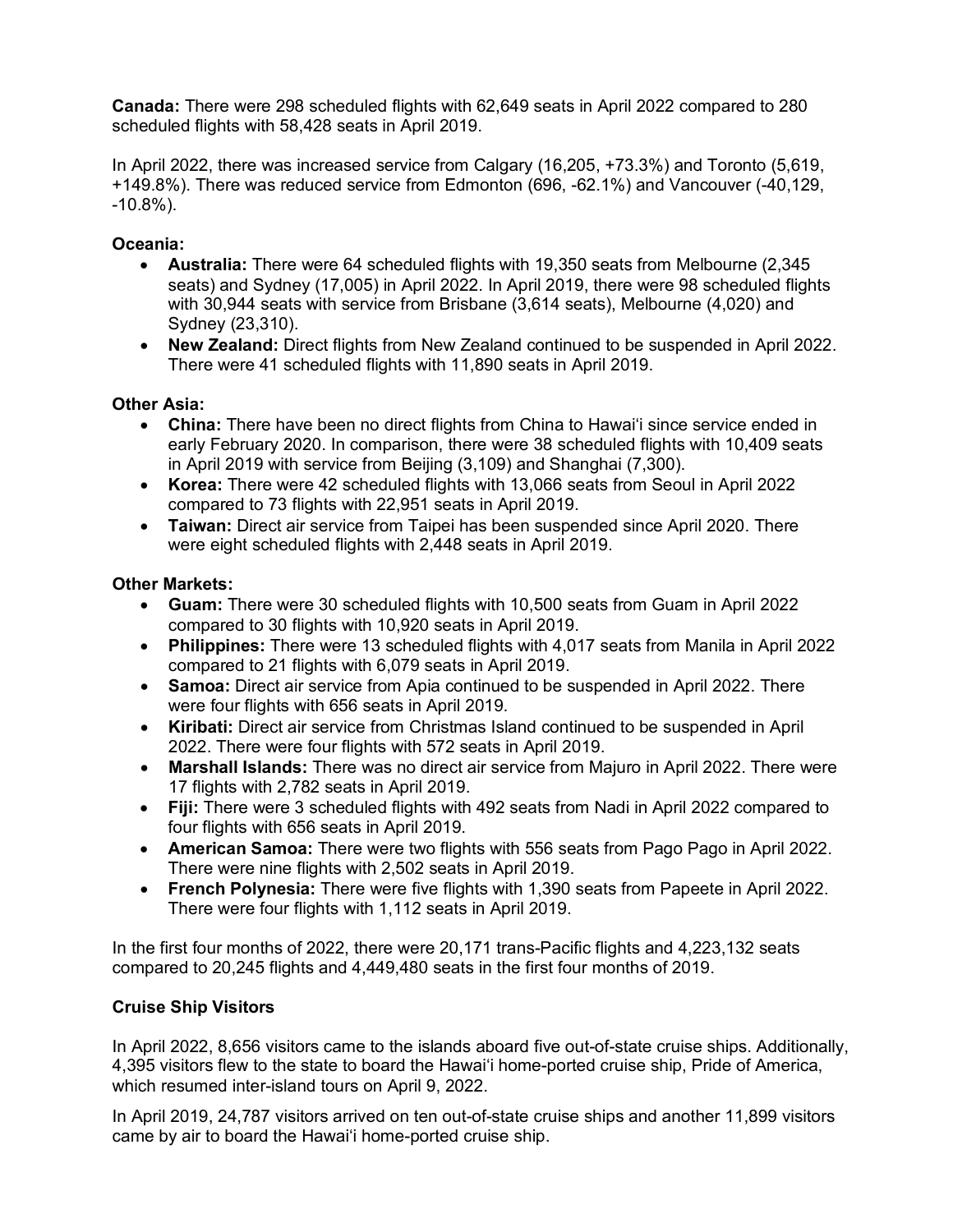**Canada:** There were 298 scheduled flights with 62,649 seats in April 2022 compared to 280 scheduled flights with 58,428 seats in April 2019.

In April 2022, there was increased service from Calgary (16,205, +73.3%) and Toronto (5,619, +149.8%). There was reduced service from Edmonton (696, -62.1%) and Vancouver (-40,129, -10.8%).

# **Oceania:**

- **Australia:** There were 64 scheduled flights with 19,350 seats from Melbourne (2,345 seats) and Sydney (17,005) in April 2022. In April 2019, there were 98 scheduled flights with 30,944 seats with service from Brisbane (3,614 seats), Melbourne (4,020) and Sydney (23,310).
- **New Zealand:** Direct flights from New Zealand continued to be suspended in April 2022. There were 41 scheduled flights with 11,890 seats in April 2019.

# **Other Asia:**

- **China:** There have been no direct flights from China to Hawai'i since service ended in early February 2020. In comparison, there were 38 scheduled flights with 10,409 seats in April 2019 with service from Beijing (3,109) and Shanghai (7,300).
- **Korea:** There were 42 scheduled flights with 13,066 seats from Seoul in April 2022 compared to 73 flights with 22,951 seats in April 2019.
- **Taiwan:** Direct air service from Taipei has been suspended since April 2020. There were eight scheduled flights with 2,448 seats in April 2019.

## **Other Markets:**

- **Guam:** There were 30 scheduled flights with 10,500 seats from Guam in April 2022 compared to 30 flights with 10,920 seats in April 2019.
- **Philippines:** There were 13 scheduled flights with 4,017 seats from Manila in April 2022 compared to 21 flights with 6,079 seats in April 2019.
- **Samoa:** Direct air service from Apia continued to be suspended in April 2022. There were four flights with 656 seats in April 2019.
- **Kiribati:** Direct air service from Christmas Island continued to be suspended in April 2022. There were four flights with 572 seats in April 2019.
- **Marshall Islands:** There was no direct air service from Majuro in April 2022. There were 17 flights with 2,782 seats in April 2019.
- **Fiji:** There were 3 scheduled flights with 492 seats from Nadi in April 2022 compared to four flights with 656 seats in April 2019.
- **American Samoa:** There were two flights with 556 seats from Pago Pago in April 2022. There were nine flights with 2,502 seats in April 2019.
- **French Polynesia:** There were five flights with 1,390 seats from Papeete in April 2022. There were four flights with 1,112 seats in April 2019.

In the first four months of 2022, there were 20,171 trans-Pacific flights and 4,223,132 seats compared to 20,245 flights and 4,449,480 seats in the first four months of 2019.

## **Cruise Ship Visitors**

In April 2022, 8,656 visitors came to the islands aboard five out-of-state cruise ships. Additionally, 4,395 visitors flew to the state to board the Hawai'i home-ported cruise ship, Pride of America, which resumed inter-island tours on April 9, 2022.

In April 2019, 24,787 visitors arrived on ten out-of-state cruise ships and another 11,899 visitors came by air to board the Hawai'i home-ported cruise ship.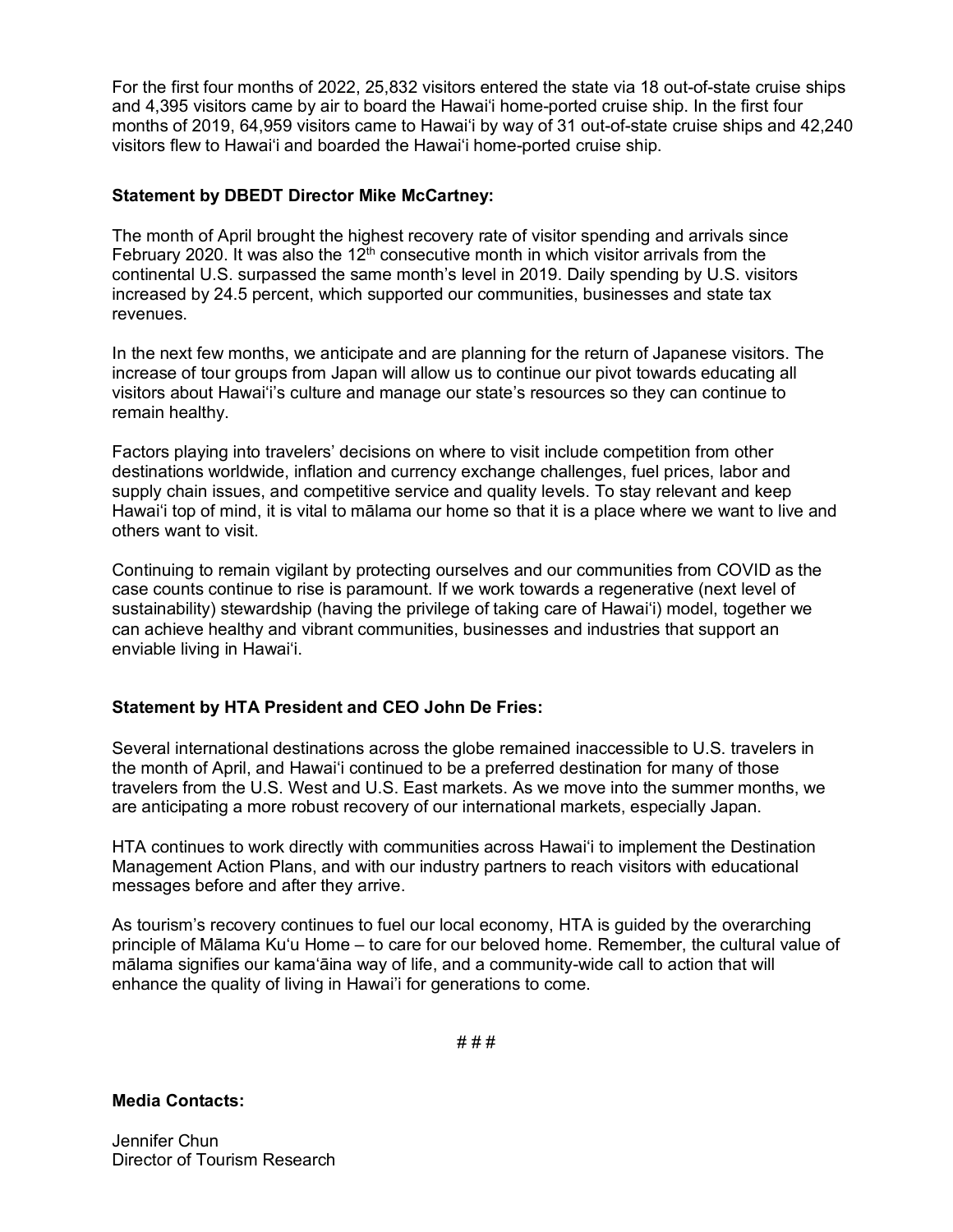For the first four months of 2022, 25,832 visitors entered the state via 18 out-of-state cruise ships and 4,395 visitors came by air to board the Hawai'i home-ported cruise ship. In the first four months of 2019, 64,959 visitors came to Hawai'i by way of 31 out-of-state cruise ships and 42,240 visitors flew to Hawai'i and boarded the Hawai'i home-ported cruise ship.

## **Statement by DBEDT Director Mike McCartney:**

The month of April brought the highest recovery rate of visitor spending and arrivals since February 2020. It was also the  $12<sup>th</sup>$  consecutive month in which visitor arrivals from the continental U.S. surpassed the same month's level in 2019. Daily spending by U.S. visitors increased by 24.5 percent, which supported our communities, businesses and state tax revenues.

In the next few months, we anticipate and are planning for the return of Japanese visitors. The increase of tour groups from Japan will allow us to continue our pivot towards educating all visitors about Hawai'i's culture and manage our state's resources so they can continue to remain healthy.

Factors playing into travelers' decisions on where to visit include competition from other destinations worldwide, inflation and currency exchange challenges, fuel prices, labor and supply chain issues, and competitive service and quality levels. To stay relevant and keep Hawai'i top of mind, it is vital to mālama our home so that it is a place where we want to live and others want to visit.

Continuing to remain vigilant by protecting ourselves and our communities from COVID as the case counts continue to rise is paramount. If we work towards a regenerative (next level of sustainability) stewardship (having the privilege of taking care of Hawai'i) model, together we can achieve healthy and vibrant communities, businesses and industries that support an enviable living in Hawai'i.

## **Statement by HTA President and CEO John De Fries:**

Several international destinations across the globe remained inaccessible to U.S. travelers in the month of April, and Hawai'i continued to be a preferred destination for many of those travelers from the U.S. West and U.S. East markets. As we move into the summer months, we are anticipating a more robust recovery of our international markets, especially Japan.

HTA continues to work directly with communities across Hawaiʻi to implement the Destination Management Action Plans, and with our industry partners to reach visitors with educational messages before and after they arrive.

As tourism's recovery continues to fuel our local economy, HTA is guided by the overarching principle of Mālama Ku'u Home – to care for our beloved home. Remember, the cultural value of mālama signifies our kamaʻāina way of life, and a community-wide call to action that will enhance the quality of living in Hawai'i for generations to come.

# # #

**Media Contacts:** 

Jennifer Chun Director of Tourism Research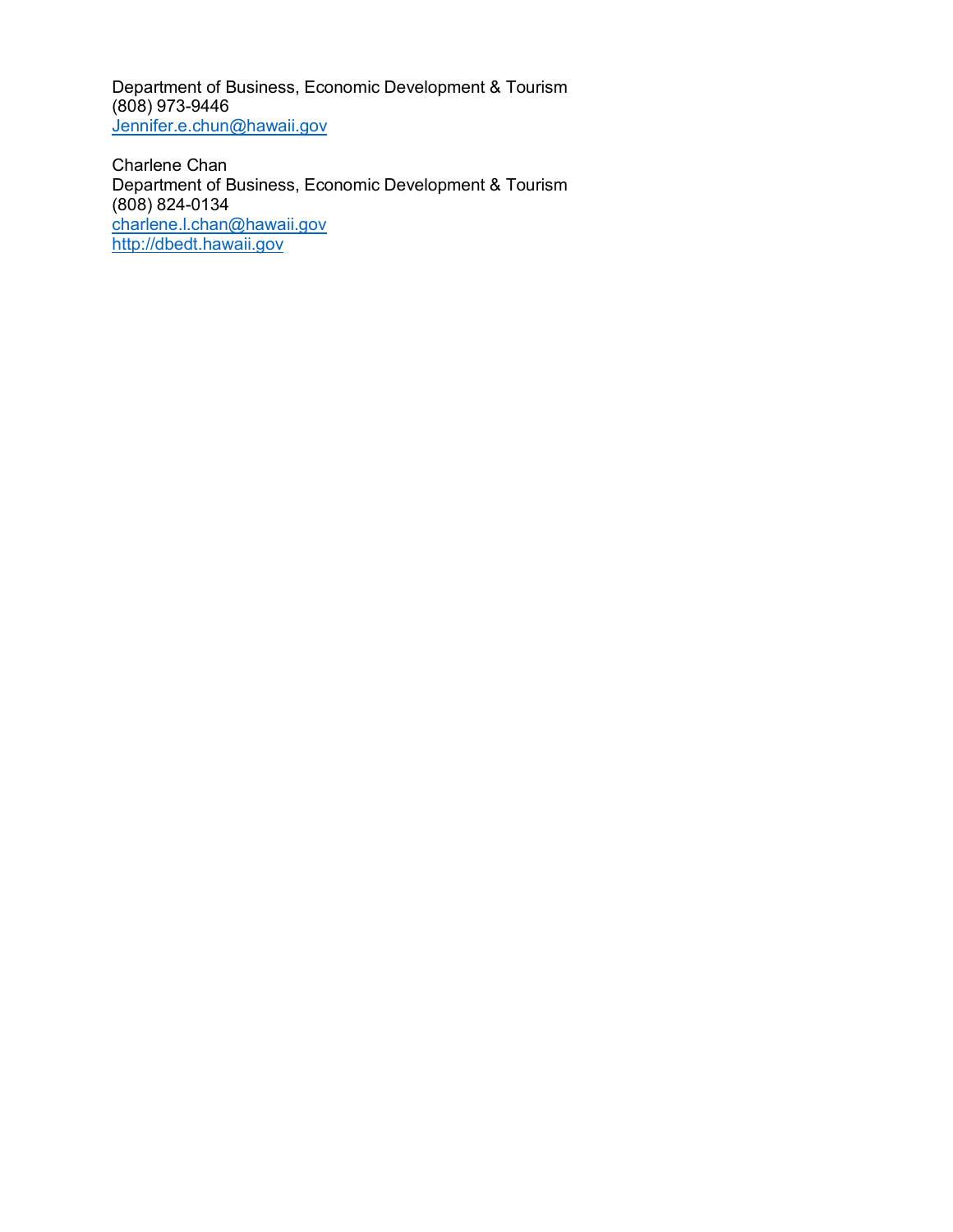Department of Business, Economic Development & Tourism (808) 973-9446 [Jennifer.e.chun@h](mailto:Jennifer.e.chun@)awaii.gov

Charlene Chan Department of Business, Economic Development & Tourism (808) 824-0134 [charlene.l.chan@hawaii.gov](mailto:charlene.l.chan@hawaii.gov)  [http://dbedt.hawaii.gov](http://dbedt.hawaii.gov/)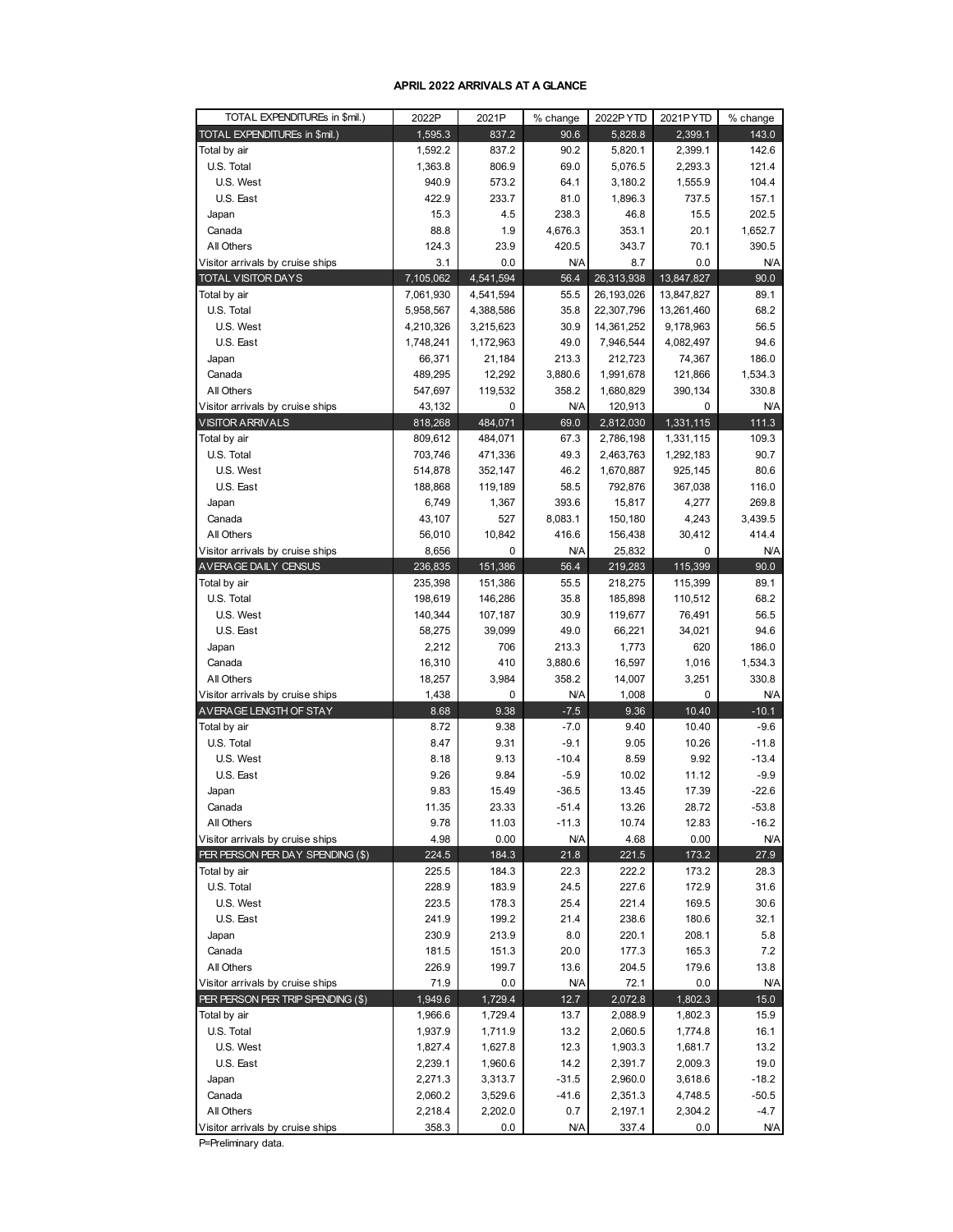#### **APRIL 2022 ARRIVALS AT A GLANCE**

| TOTAL EXPENDITUREs in \$mil.)                              | 2022P              | 2021P                | % change        | 2022PYTD           | 2021PYTD             | % change              |
|------------------------------------------------------------|--------------------|----------------------|-----------------|--------------------|----------------------|-----------------------|
| TOTAL EXPENDITUREs in \$mil.)                              | 1,595.3            | 837.2                | 90.6            | 5,828.8            | 2,399.1              | 143.0                 |
| Total by air                                               | 1,592.2            | 837.2                | 90.2            | 5,820.1            | 2,399.1              | 142.6                 |
| U.S. Total                                                 | 1,363.8            | 806.9                | 69.0            | 5,076.5            | 2,293.3              | 121.4                 |
| U.S. West                                                  | 940.9              | 573.2                | 64.1            | 3,180.2            | 1,555.9              | 104.4                 |
| U.S. East                                                  | 422.9              | 233.7                | 81.0            | 1,896.3            | 737.5                | 157.1                 |
| Japan                                                      | 15.3               | 4.5                  | 238.3           | 46.8               | 15.5                 | 202.5                 |
| Canada                                                     | 88.8               | 1.9                  | 4,676.3         | 353.1              | 20.1                 | 1,652.7               |
| All Others<br>Visitor arrivals by cruise ships             | 124.3              | 23.9<br>0.0          | 420.5           | 343.7              | 70.1                 | 390.5                 |
|                                                            | 3.1<br>7,105,062   | 4,541,594            | N/A<br>56.4     | 8.7<br>26,313,938  | 0.0<br>13,847,827    | N/A<br>90.0           |
| TOTAL VISITOR DAYS<br>Total by air                         | 7,061,930          | 4,541,594            | 55.5            | 26,193,026         | 13,847,827           | 89.1                  |
| U.S. Total                                                 | 5,958,567          | 4,388,586            | 35.8            | 22,307,796         | 13,261,460           | 68.2                  |
| U.S. West                                                  | 4,210,326          | 3,215,623            | 30.9            | 14,361,252         | 9,178,963            | 56.5                  |
| U.S. East                                                  | 1,748,241          | 1,172,963            | 49.0            | 7,946,544          | 4,082,497            | 94.6                  |
| Japan                                                      | 66,371             | 21,184               | 213.3           | 212,723            | 74,367               | 186.0                 |
| Canada                                                     | 489,295            | 12,292               | 3,880.6         | 1,991,678          | 121,866              | 1,534.3               |
| All Others                                                 | 547,697            | 119,532              | 358.2           | 1,680,829          | 390,134              | 330.8                 |
| Visitor arrivals by cruise ships                           | 43,132             | 0                    | N/A             | 120,913            | 0                    | <b>N/A</b>            |
| <b>VISITOR ARRIVALS</b>                                    | 818,268            | 484,071              | 69.0            | 2,812,030          | 1,331,115            | 111.3                 |
| Total by air                                               | 809,612            | 484,071              | 67.3            | 2,786,198          | 1,331,115            | 109.3                 |
| U.S. Total                                                 | 703,746            | 471,336              | 49.3            | 2,463,763          | 1,292,183            | 90.7                  |
| U.S. West                                                  | 514,878            | 352,147              | 46.2            | 1,670,887          | 925,145              | 80.6                  |
| U.S. East                                                  | 188,868            | 119,189              | 58.5            | 792,876            | 367,038              | 116.0                 |
| Japan                                                      | 6,749              | 1,367                | 393.6           | 15,817             | 4,277                | 269.8                 |
| Canada                                                     | 43,107             | 527                  | 8,083.1         | 150,180            | 4,243                | 3,439.5               |
| All Others                                                 | 56,010             | 10,842               | 416.6           | 156,438            | 30,412               | 414.4                 |
| Visitor arrivals by cruise ships                           | 8,656              | 0                    | N/A             | 25,832             | 0                    | <b>N/A</b>            |
| AVERAGE DAILY CENSUS                                       | 236,835            | 151,386              | 56.4            | 219,283            | 115,399              | 90.0                  |
| Total by air                                               | 235,398            | 151,386              | 55.5            | 218,275            | 115,399              | 89.1                  |
| U.S. Total                                                 | 198,619            | 146,286              | 35.8            | 185,898            | 110,512              | 68.2                  |
| U.S. West                                                  | 140,344            | 107,187              | 30.9            | 119,677            | 76,491               | 56.5                  |
| U.S. East                                                  | 58,275             | 39,099               | 49.0            | 66,221             | 34,021               | 94.6                  |
| Japan                                                      | 2,212              | 706                  | 213.3           | 1,773              | 620                  | 186.0                 |
| Canada                                                     | 16,310             | 410                  | 3,880.6         | 16,597             | 1,016                | 1,534.3               |
| All Others                                                 | 18,257             | 3,984<br>$\mathbf 0$ | 358.2           | 14,007             | 3,251<br>$\mathbf 0$ | 330.8                 |
| Visitor arrivals by cruise ships<br>AVERAGE LENGTH OF STAY | 1,438<br>8.68      | 9.38                 | N/A<br>$-7.5$   | 1,008<br>9.36      | 10.40                | <b>N/A</b><br>$-10.1$ |
| Total by air                                               | 8.72               | 9.38                 | $-7.0$          | 9.40               | 10.40                | $-9.6$                |
| U.S. Total                                                 | 8.47               | 9.31                 | $-9.1$          | 9.05               | 10.26                | $-11.8$               |
| U.S. West                                                  | 8.18               | 9.13                 | $-10.4$         | 8.59               | 9.92                 | $-13.4$               |
| U.S. East                                                  | 9.26               | 9.84                 | $-5.9$          | 10.02              | 11.12                | $-9.9$                |
| Japan                                                      | 9.83               | 15.49                | $-36.5$         | 13.45              | 17.39                | $-22.6$               |
| Canada                                                     | 11.35              | 23.33                | $-51.4$         | 13.26              | 28.72                | $-53.8$               |
| All Others                                                 | 9.78               | 11.03                | $-11.3$         | 10.74              | 12.83                | $-16.2$               |
| Visitor arrivals by cruise ships                           | 4.98               | 0.00                 | <b>N/A</b>      | 4.68               | 0.00                 | <b>N/A</b>            |
| PER PERSON PER DAY SPENDING (\$)                           | 224.5              | 184.3                | 21.8            | 221.5              | 173.2                | 27.9                  |
| Total by air                                               | 225.5              | 184.3                | 22.3            | 222.2              | 173.2                | 28.3                  |
| U.S. Total                                                 | 228.9              | 183.9                | 24.5            | 227.6              | 172.9                | 31.6                  |
| U.S. West                                                  | 223.5              | 178.3                | 25.4            | 221.4              | 169.5                | 30.6                  |
| U.S. East                                                  | 241.9              | 199.2                | 21.4            | 238.6              | 180.6                | 32.1                  |
| Japan                                                      | 230.9              | 213.9                | 8.0             | 220.1              | 208.1                | 5.8                   |
| Canada                                                     | 181.5              | 151.3                | 20.0            | 177.3              | 165.3                | 7.2                   |
| All Others                                                 | 226.9              | 199.7                | 13.6            | 204.5              | 179.6                | 13.8                  |
| Visitor arrivals by cruise ships                           | 71.9               | 0.0                  | <b>N/A</b>      | 72.1               | 0.0                  | <b>N/A</b>            |
| PER PERSON PER TRIP SPENDING (\$)                          | 1,949.6            | 1,729.4              | 12.7            | 2,072.8            | 1,802.3              | 15.0                  |
| Total by air                                               | 1,966.6            | 1,729.4              | 13.7            | 2,088.9            | 1,802.3              | 15.9                  |
| U.S. Total                                                 | 1,937.9            | 1,711.9              | 13.2            | 2,060.5            | 1,774.8              | 16.1                  |
| U.S. West                                                  | 1,827.4            | 1,627.8              | 12.3            | 1,903.3            | 1,681.7              | 13.2                  |
| U.S. East                                                  | 2,239.1            | 1,960.6              | 14.2<br>$-31.5$ | 2,391.7            | 2,009.3<br>3,618.6   | 19.0<br>$-18.2$       |
| Japan<br>Canada                                            | 2,271.3<br>2,060.2 | 3,313.7<br>3,529.6   | $-41.6$         | 2,960.0<br>2,351.3 | 4,748.5              | $-50.5$               |
| All Others                                                 | 2,218.4            | 2,202.0              | 0.7             | 2,197.1            | 2,304.2              | $-4.7$                |
| Visitor arrivals by cruise ships                           | 358.3              | 0.0                  | <b>N/A</b>      | 337.4              | 0.0                  | N/A                   |
|                                                            |                    |                      |                 |                    |                      |                       |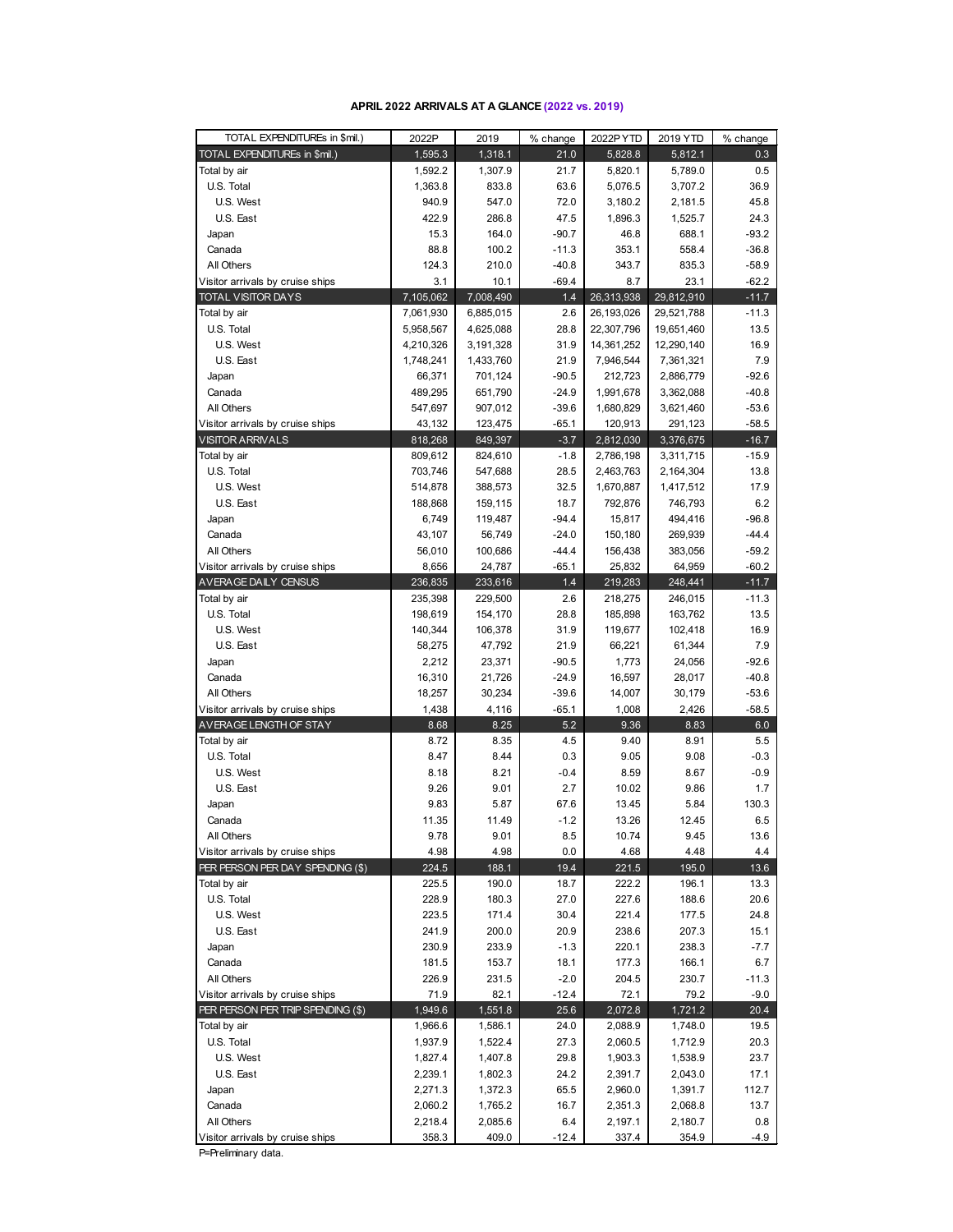#### **APRIL 2022 ARRIVALS AT A GLANCE (2022 vs. 2019)**

| TOTAL EXPENDITUREs in \$mil.)                               | 2022P             | 2019               | % change           | 2022PYTD               | 2019 YTD             | % change           |
|-------------------------------------------------------------|-------------------|--------------------|--------------------|------------------------|----------------------|--------------------|
| TOTAL EXPENDITUREs in \$mil.)                               | 1,595.3           | 1,318.1            | 21.0               | 5,828.8                | 5,812.1              | 0.3                |
| Total by air                                                | 1,592.2           | 1,307.9            | 21.7               | 5,820.1                | 5,789.0              | 0.5                |
| U.S. Total                                                  | 1,363.8           | 833.8              | 63.6               | 5,076.5                | 3,707.2              | 36.9               |
| U.S. West                                                   | 940.9             | 547.0              | 72.0               | 3,180.2                | 2,181.5              | 45.8               |
| U.S. East                                                   | 422.9             | 286.8              | 47.5               | 1,896.3                | 1,525.7              | 24.3               |
| Japan                                                       | 15.3              | 164.0              | $-90.7$            | 46.8                   | 688.1                | $-93.2$            |
| Canada                                                      | 88.8              | 100.2              | $-11.3$            | 353.1                  | 558.4                | $-36.8$            |
| All Others                                                  | 124.3             | 210.0              | $-40.8$            | 343.7                  | 835.3                | $-58.9$            |
| Visitor arrivals by cruise ships                            | 3.1               | 10.1               | $-69.4$            | 8.7                    | 23.1                 | $-62.2$            |
| <b>TOTAL VISITOR DAYS</b>                                   | 7,105,062         | 7,008,490          | 1.4                | 26,313,938             | 29,812,910           | $-11.7$            |
| Total by air                                                | 7,061,930         | 6,885,015          | 2.6                | 26,193,026             | 29,521,788           | $-11.3$            |
| U.S. Total                                                  | 5,958,567         | 4,625,088          | 28.8               | 22,307,796             | 19,651,460           | 13.5               |
| U.S. West                                                   | 4,210,326         | 3,191,328          | 31.9               | 14,361,252             | 12,290,140           | 16.9               |
| U.S. East                                                   | 1,748,241         | 1,433,760          | 21.9               | 7,946,544              | 7,361,321            | 7.9                |
| Japan                                                       | 66,371            | 701,124            | $-90.5$            | 212,723                | 2,886,779            | $-92.6$            |
| Canada                                                      | 489,295           | 651,790            | $-24.9$            | 1,991,678              | 3,362,088            | $-40.8$            |
| All Others                                                  | 547,697           | 907,012            | $-39.6$<br>$-65.1$ | 1,680,829              | 3,621,460            | $-53.6$            |
| Visitor arrivals by cruise ships<br><b>VISITOR ARRIVALS</b> | 43,132<br>818,268 | 123,475<br>849,397 | $-3.7$             | 120,913<br>2,812,030   | 291,123<br>3,376,675 | $-58.5$<br>$-16.7$ |
| Total by air                                                | 809,612           |                    | $-1.8$             |                        | 3,311,715            | $-15.9$            |
| U.S. Total                                                  | 703,746           | 824,610<br>547,688 | 28.5               | 2,786,198<br>2,463,763 | 2,164,304            | 13.8               |
| U.S. West                                                   | 514,878           | 388,573            | 32.5               | 1,670,887              | 1,417,512            | 17.9               |
| U.S. East                                                   | 188,868           | 159,115            | 18.7               | 792,876                | 746,793              | 6.2                |
| Japan                                                       | 6,749             | 119,487            | $-94.4$            | 15,817                 | 494,416              | $-96.8$            |
| Canada                                                      | 43,107            | 56,749             | $-24.0$            | 150,180                | 269,939              | $-44.4$            |
| All Others                                                  | 56,010            | 100,686            | $-44.4$            | 156,438                | 383,056              | $-59.2$            |
| Visitor arrivals by cruise ships                            | 8,656             | 24,787             | $-65.1$            | 25,832                 | 64,959               | $-60.2$            |
| AVERAGE DAILY CENSUS                                        | 236,835           | 233,616            | 1.4                | 219,283                | 248,441              | $-11.7$            |
| Total by air                                                | 235,398           | 229,500            | 2.6                | 218,275                | 246,015              | $-11.3$            |
| U.S. Total                                                  | 198,619           | 154,170            | 28.8               | 185,898                | 163,762              | 13.5               |
| U.S. West                                                   | 140,344           | 106,378            | 31.9               | 119,677                | 102,418              | 16.9               |
| U.S. East                                                   | 58,275            | 47,792             | 21.9               | 66,221                 | 61,344               | 7.9                |
| Japan                                                       | 2,212             | 23,371             | $-90.5$            | 1,773                  | 24,056               | $-92.6$            |
| Canada                                                      | 16,310            | 21,726             | $-24.9$            | 16,597                 | 28,017               | $-40.8$            |
| All Others                                                  | 18,257            | 30,234             | $-39.6$            | 14,007                 | 30,179               | $-53.6$            |
| Visitor arrivals by cruise ships                            | 1,438             | 4,116              | $-65.1$            | 1,008                  | 2,426                | $-58.5$            |
| AVERAGE LENGTH OF STAY                                      | 8.68              | 8.25               | 5.2                | 9.36                   | 8.83                 | 6.0                |
| Total by air                                                | 8.72              | 8.35               | 4.5                | 9.40                   | 8.91                 | 5.5                |
| U.S. Total                                                  | 8.47              | 8.44               | 0.3                | 9.05                   | 9.08                 | $-0.3$             |
| U.S. West                                                   | 8.18              | 8.21               | $-0.4$             | 8.59                   | 8.67                 | $-0.9$             |
| U.S. East                                                   | 9.26              | 9.01               | 2.7                | 10.02                  | 9.86                 | 1.7                |
| Japan                                                       | 9.83              | 5.87               | 67.6               | 13.45                  | 5.84                 | 130.3              |
| Canada                                                      | 11.35             | 11.49              | $-1.2$             | 13.26                  | 12.45                | 6.5                |
| All Others<br>Visitor arrivals by cruise ships              | 9.78              | 9.01               | 8.5                | 10.74                  | 9.45<br>4.48         | 13.6<br>4.4        |
| PER PERSON PER DAY SPENDING (\$)                            | 4.98<br>224.5     | 4.98<br>188.1      | 0.0<br>19.4        | 4.68<br>221.5          | 195.0                | 13.6               |
| Total by air                                                | 225.5             | 190.0              | 18.7               | 222.2                  | 196.1                | 13.3               |
| U.S. Total                                                  | 228.9             | 180.3              | 27.0               | 227.6                  | 188.6                | 20.6               |
| U.S. West                                                   | 223.5             | 171.4              | 30.4               | 221.4                  | 177.5                | 24.8               |
| U.S. East                                                   | 241.9             | 200.0              | 20.9               | 238.6                  | 207.3                | 15.1               |
| Japan                                                       | 230.9             | 233.9              | $-1.3$             | 220.1                  | 238.3                | $-7.7$             |
| Canada                                                      | 181.5             | 153.7              | 18.1               | 177.3                  | 166.1                | 6.7                |
| All Others                                                  | 226.9             | 231.5              | $-2.0$             | 204.5                  | 230.7                | $-11.3$            |
| Visitor arrivals by cruise ships                            | 71.9              | 82.1               | $-12.4$            | 72.1                   | 79.2                 | $-9.0$             |
| PER PERSON PER TRIP SPENDING (\$)                           | 1,949.6           | 1,551.8            | 25.6               | 2,072.8                | 1,721.2              | 20.4               |
| Total by air                                                | 1,966.6           | 1,586.1            | 24.0               | 2,088.9                | 1,748.0              | 19.5               |
| U.S. Total                                                  | 1,937.9           | 1,522.4            | 27.3               | 2,060.5                | 1,712.9              | 20.3               |
| U.S. West                                                   | 1,827.4           | 1,407.8            | 29.8               | 1,903.3                | 1,538.9              | 23.7               |
| U.S. East                                                   | 2,239.1           | 1,802.3            | 24.2               | 2,391.7                | 2,043.0              | 17.1               |
| Japan                                                       | 2,271.3           | 1,372.3            | 65.5               | 2,960.0                | 1,391.7              | 112.7              |
| Canada                                                      | 2,060.2           | 1,765.2            | 16.7               | 2,351.3                | 2,068.8              | 13.7               |
| All Others                                                  | 2,218.4           | 2,085.6            | 6.4                | 2,197.1                | 2,180.7              | 0.8                |
| Visitor arrivals by cruise ships                            | 358.3             | 409.0              | $-12.4$            | 337.4                  | 354.9                | -4.9               |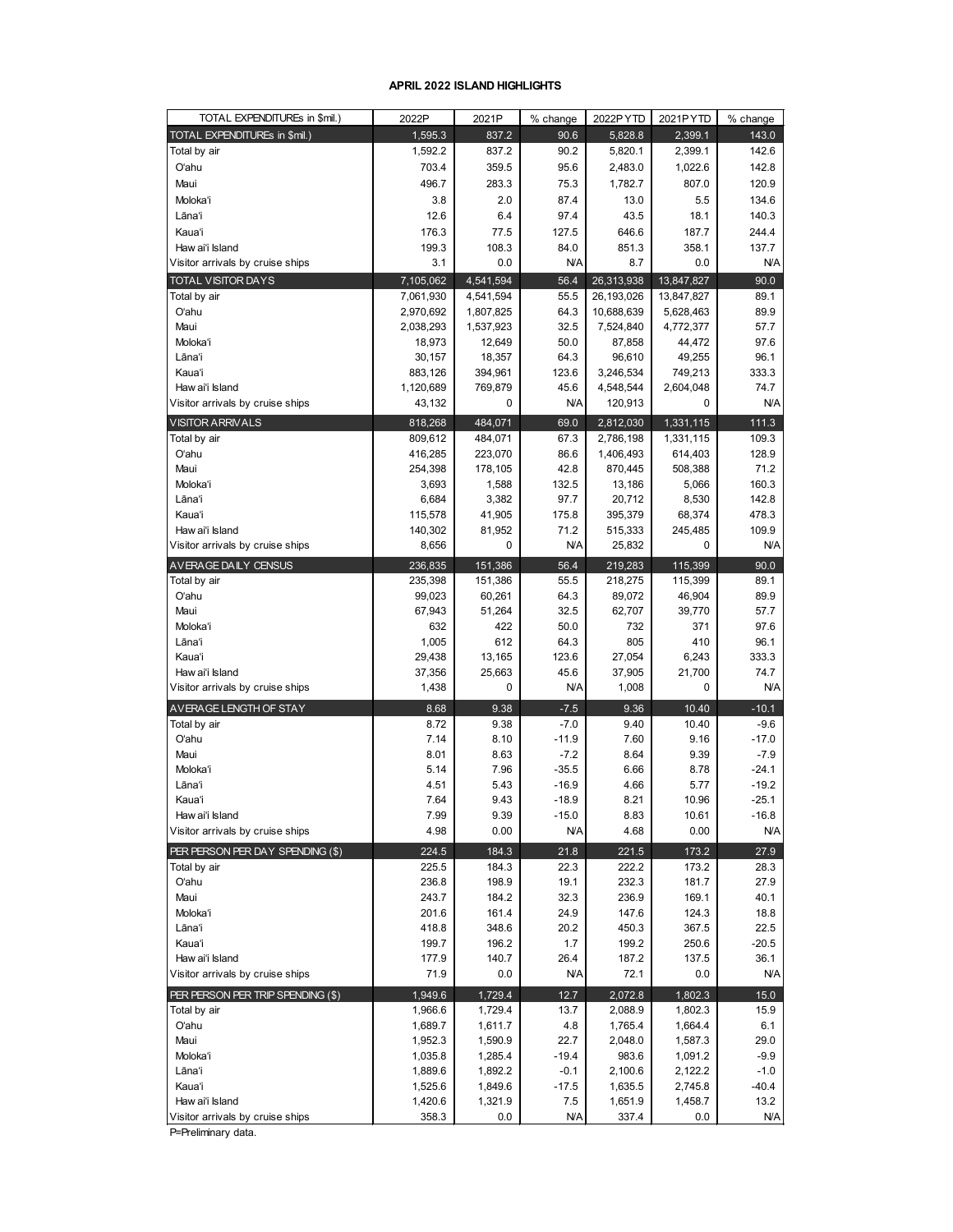#### **APRIL 2022 ISLAND HIGHLIGHTS**

| TOTAL EXPENDITUREs in \$mil.)     | 2022P              | 2021P              | % change        | 2022PYTD         | 2021PYTD           | % change        |
|-----------------------------------|--------------------|--------------------|-----------------|------------------|--------------------|-----------------|
| TOTAL EXPENDITUREs in \$mil.)     | 1,595.3            | 837.2              | 90.6            | 5,828.8          | 2,399.1            | 143.0           |
| Total by air                      | 1,592.2            | 837.2              | 90.2            | 5,820.1          | 2,399.1            | 142.6           |
| O'ahu                             | 703.4              | 359.5              | 95.6            | 2,483.0          | 1,022.6            | 142.8           |
| Maui                              | 496.7              | 283.3              | 75.3            | 1,782.7          | 807.0              | 120.9           |
| Moloka'i                          | 3.8                | 2.0                | 87.4            | 13.0             | 5.5                | 134.6           |
| Lāna'i                            | 12.6               | 6.4                | 97.4            | 43.5             | 18.1               | 140.3           |
| Kaua'i                            | 176.3              | 77.5               | 127.5           | 646.6            | 187.7              | 244.4           |
| Haw ai'i Island                   | 199.3              | 108.3              | 84.0            | 851.3            | 358.1              | 137.7           |
| Visitor arrivals by cruise ships  | 3.1                | 0.0                | N/A             | 8.7              | 0.0                | N/A             |
| <b>TOTAL VISITOR DAYS</b>         | 7,105,062          | 4,541,594          | 56.4            | 26,313,938       | 13,847,827         | 90.0            |
| Total by air                      | 7,061,930          | 4,541,594          | 55.5            | 26,193,026       | 13,847,827         | 89.1            |
| O'ahu                             | 2,970,692          | 1,807,825          | 64.3            | 10,688,639       | 5,628,463          | 89.9            |
| Maui                              | 2,038,293          | 1,537,923          | 32.5            | 7,524,840        | 4,772,377          | 57.7            |
| Moloka'i                          | 18,973             | 12,649             | 50.0            | 87,858           | 44,472             | 97.6            |
| Lāna'i                            | 30,157             | 18,357             | 64.3            | 96,610           | 49,255             | 96.1            |
| Kaua'i                            | 883,126            | 394,961            | 123.6           | 3,246,534        | 749,213            | 333.3           |
| Haw ai'i Island                   | 1,120,689          | 769,879            | 45.6            | 4,548,544        | 2,604,048          | 74.7            |
| Visitor arrivals by cruise ships  | 43,132             | 0                  | <b>N/A</b>      | 120,913          | 0                  | <b>N/A</b>      |
| <b>VISITOR ARRIVALS</b>           | 818,268            | 484,071            | 69.0            | 2,812,030        | 1,331,115          | 111.3           |
| Total by air                      | 809,612            | 484,071            | 67.3            | 2,786,198        | 1,331,115          | 109.3           |
| Oʻahu                             | 416,285            | 223,070            | 86.6            | 1,406,493        | 614,403            | 128.9           |
| Maui                              | 254,398            | 178,105            | 42.8            | 870,445          | 508,388            | 71.2            |
| Moloka'i                          | 3,693              | 1,588              | 132.5           | 13,186           | 5,066              | 160.3           |
| Lāna'i                            | 6,684              | 3,382              | 97.7            | 20,712           | 8,530              | 142.8           |
| Kaua'i                            | 115,578            | 41,905             | 175.8           | 395,379          | 68,374             | 478.3           |
| Haw ai'i Island                   | 140,302            | 81,952             | 71.2            | 515,333          | 245,485            | 109.9           |
| Visitor arrivals by cruise ships  | 8,656              | 0                  | N/A             | 25,832           | 0                  | <b>N/A</b>      |
| AVERAGE DAILY CENSUS              | 236,835            | 151,386            | 56.4            | 219,283          | 115,399            | 90.0            |
| Total by air                      | 235,398            | 151,386            | 55.5            | 218,275          | 115,399            | 89.1            |
| Oʻahu                             | 99,023             | 60,261             | 64.3            | 89,072           | 46,904             | 89.9            |
| Maui                              | 67,943             | 51,264             | 32.5            | 62,707           | 39,770             | 57.7            |
| Moloka'i                          | 632                | 422                | 50.0            | 732              | 371                | 97.6            |
| Lāna'i                            | 1,005              | 612                | 64.3            | 805              | 410                | 96.1            |
| Kauaʻi                            | 29,438             | 13,165             | 123.6           | 27,054           | 6,243              | 333.3           |
| Haw ai'i Island                   | 37,356             | 25,663             | 45.6            | 37,905           | 21,700             | 74.7            |
| Visitor arrivals by cruise ships  | 1,438              | 0                  | <b>N/A</b>      | 1,008            | 0                  | <b>N/A</b>      |
| AVERAGE LENGTH OF STAY            | 8.68               | 9.38               | $-7.5$          | 9.36             | 10.40              | $-10.1$         |
| Total by air                      | 8.72               | 9.38               | $-7.0$          | 9.40             | 10.40              | $-9.6$          |
| O'ahu                             | 7.14               | 8.10               | $-11.9$         | 7.60             | 9.16               | $-17.0$         |
| Maui                              | 8.01               | 8.63               | $-7.2$          | 8.64             | 9.39               | $-7.9$          |
| Moloka'i                          | 5.14               | 7.96               | $-35.5$         | 6.66             | 8.78               | $-24.1$         |
| Lāna'i                            | 4.51               | 5.43               | $-16.9$         | 4.66             | 5.77               | $-19.2$         |
| Kauaʻi                            | 7.64               | 9.43               | $-18.9$         | 8.21             | 10.96              | $-25.1$         |
| Haw ai'i Island                   | 7.99               | 9.39               | $-15.0$         | 8.83             | 10.61              | $-16.8$         |
| Visitor arrivals by cruise ships  | 4.98               | 0.00               | <b>N/A</b>      | 4.68             | 0.00               | <b>N/A</b>      |
| PER PERSON PER DAY SPENDING (\$)  | 224.5              | 184.3              | 21.8            | 221.5            | 173.2              | 27.9            |
| Total by air                      | 225.5              | 184.3              | 22.3            | 222.2            | 173.2              | 28.3            |
| Oʻahu                             | 236.8              | 198.9              | 19.1            | 232.3            | 181.7              | 27.9            |
| Maui                              | 243.7              | 184.2              | 32.3            | 236.9            | 169.1              | 40.1            |
| Moloka'i                          | 201.6              | 161.4              | 24.9            | 147.6            | 124.3              | 18.8            |
| Lānaʻi<br>Kauaʻi                  | 418.8<br>199.7     | 348.6<br>196.2     | 20.2<br>1.7     | 450.3<br>199.2   | 367.5<br>250.6     | 22.5<br>$-20.5$ |
| Haw ai'i Island                   | 177.9              | 140.7              | 26.4            | 187.2            | 137.5              | 36.1            |
| Visitor arrivals by cruise ships  | 71.9               | 0.0                | <b>N/A</b>      | 72.1             | 0.0                | N/A             |
|                                   |                    |                    |                 |                  |                    |                 |
| PER PERSON PER TRIP SPENDING (\$) | 1,949.6            | 1,729.4            | 12.7            | 2,072.8          | 1,802.3            | 15.0            |
| Total by air                      | 1,966.6            | 1,729.4            | 13.7            | 2,088.9          | 1,802.3            | 15.9            |
| O'ahu                             | 1,689.7            | 1,611.7            | 4.8             | 1,765.4          | 1,664.4            | 6.1<br>29.0     |
| Maui                              | 1,952.3            | 1,590.9            | 22.7<br>$-19.4$ | 2,048.0          | 1,587.3            | $-9.9$          |
| Moloka'i<br>Lāna'i                | 1,035.8<br>1,889.6 | 1,285.4<br>1,892.2 | $-0.1$          | 983.6<br>2,100.6 | 1,091.2<br>2,122.2 | $-1.0$          |
| Kaua'i                            | 1,525.6            | 1,849.6            | $-17.5$         | 1,635.5          | 2,745.8            | $-40.4$         |
| Haw ai'i Island                   | 1,420.6            | 1,321.9            | 7.5             | 1,651.9          | 1,458.7            | 13.2            |
| Visitor arrivals by cruise ships  | 358.3              | $0.0\,$            | N/A             | 337.4            | 0.0                | N/A             |
|                                   |                    |                    |                 |                  |                    |                 |